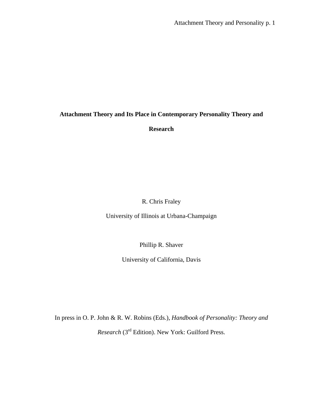# **Attachment Theory and Its Place in Contemporary Personality Theory and**

**Research** 

R. Chris Fraley

University of Illinois at Urbana-Champaign

Phillip R. Shaver

University of California, Davis

In press in O. P. John & R. W. Robins (Eds.), *Handbook of Personality: Theory and Research* (3rd Edition). New York: Guilford Press.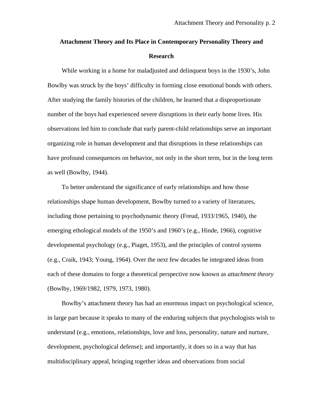# **Attachment Theory and Its Place in Contemporary Personality Theory and Research**

While working in a home for maladjusted and delinquent boys in the 1930's, John Bowlby was struck by the boys' difficulty in forming close emotional bonds with others. After studying the family histories of the children, he learned that a disproportionate number of the boys had experienced severe disruptions in their early home lives. His observations led him to conclude that early parent-child relationships serve an important organizing role in human development and that disruptions in these relationships can have profound consequences on behavior, not only in the short term, but in the long term as well (Bowlby, 1944).

To better understand the significance of early relationships and how those relationships shape human development, Bowlby turned to a variety of literatures, including those pertaining to psychodynamic theory (Freud, 1933/1965, 1940), the emerging ethological models of the 1950's and 1960's (e.g., Hinde, 1966), cognitive developmental psychology (e.g., Piaget, 1953), and the principles of control systems (e.g., Craik, 1943; Young, 1964). Over the next few decades he integrated ideas from each of these domains to forge a theoretical perspective now known as *attachment theory* (Bowlby, 1969/1982, 1979, 1973, 1980).

Bowlby's attachment theory has had an enormous impact on psychological science, in large part because it speaks to many of the enduring subjects that psychologists wish to understand (e.g., emotions, relationships, love and loss, personality, nature and nurture, development, psychological defense); and importantly, it does so in a way that has multidisciplinary appeal, bringing together ideas and observations from social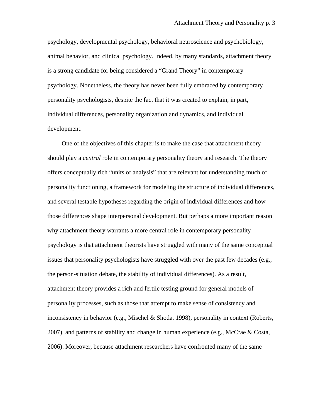psychology, developmental psychology, behavioral neuroscience and psychobiology, animal behavior, and clinical psychology. Indeed, by many standards, attachment theory is a strong candidate for being considered a "Grand Theory" in contemporary psychology. Nonetheless, the theory has never been fully embraced by contemporary personality psychologists, despite the fact that it was created to explain, in part, individual differences, personality organization and dynamics, and individual development.

One of the objectives of this chapter is to make the case that attachment theory should play a *central* role in contemporary personality theory and research. The theory offers conceptually rich "units of analysis" that are relevant for understanding much of personality functioning, a framework for modeling the structure of individual differences, and several testable hypotheses regarding the origin of individual differences and how those differences shape interpersonal development. But perhaps a more important reason why attachment theory warrants a more central role in contemporary personality psychology is that attachment theorists have struggled with many of the same conceptual issues that personality psychologists have struggled with over the past few decades (e.g., the person-situation debate, the stability of individual differences). As a result, attachment theory provides a rich and fertile testing ground for general models of personality processes, such as those that attempt to make sense of consistency and inconsistency in behavior (e.g., Mischel & Shoda, 1998), personality in context (Roberts, 2007), and patterns of stability and change in human experience (e.g., McCrae & Costa, 2006). Moreover, because attachment researchers have confronted many of the same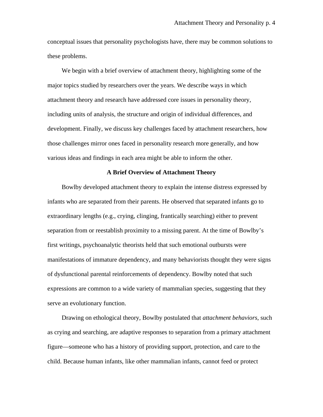conceptual issues that personality psychologists have, there may be common solutions to these problems.

We begin with a brief overview of attachment theory, highlighting some of the major topics studied by researchers over the years. We describe ways in which attachment theory and research have addressed core issues in personality theory, including units of analysis, the structure and origin of individual differences, and development. Finally, we discuss key challenges faced by attachment researchers, how those challenges mirror ones faced in personality research more generally, and how various ideas and findings in each area might be able to inform the other.

## **A Brief Overview of Attachment Theory**

Bowlby developed attachment theory to explain the intense distress expressed by infants who are separated from their parents. He observed that separated infants go to extraordinary lengths (e.g., crying, clinging, frantically searching) either to prevent separation from or reestablish proximity to a missing parent. At the time of Bowlby's first writings, psychoanalytic theorists held that such emotional outbursts were manifestations of immature dependency, and many behaviorists thought they were signs of dysfunctional parental reinforcements of dependency. Bowlby noted that such expressions are common to a wide variety of mammalian species, suggesting that they serve an evolutionary function.

Drawing on ethological theory, Bowlby postulated that *attachment behaviors*, such as crying and searching, are adaptive responses to separation from a primary attachment figure—someone who has a history of providing support, protection, and care to the child. Because human infants, like other mammalian infants, cannot feed or protect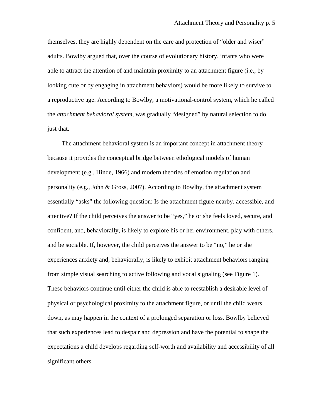themselves, they are highly dependent on the care and protection of "older and wiser" adults. Bowlby argued that, over the course of evolutionary history, infants who were able to attract the attention of and maintain proximity to an attachment figure (i.e., by looking cute or by engaging in attachment behaviors) would be more likely to survive to a reproductive age. According to Bowlby, a motivational-control system, which he called the *attachment behavioral system*, was gradually "designed" by natural selection to do just that.

The attachment behavioral system is an important concept in attachment theory because it provides the conceptual bridge between ethological models of human development (e.g., Hinde, 1966) and modern theories of emotion regulation and personality (e.g., John & Gross, 2007). According to Bowlby, the attachment system essentially "asks" the following question: Is the attachment figure nearby, accessible, and attentive? If the child perceives the answer to be "yes," he or she feels loved, secure, and confident, and, behaviorally, is likely to explore his or her environment, play with others, and be sociable. If, however, the child perceives the answer to be "no," he or she experiences anxiety and, behaviorally, is likely to exhibit attachment behaviors ranging from simple visual searching to active following and vocal signaling (see Figure 1). These behaviors continue until either the child is able to reestablish a desirable level of physical or psychological proximity to the attachment figure, or until the child wears down, as may happen in the context of a prolonged separation or loss. Bowlby believed that such experiences lead to despair and depression and have the potential to shape the expectations a child develops regarding self-worth and availability and accessibility of all significant others.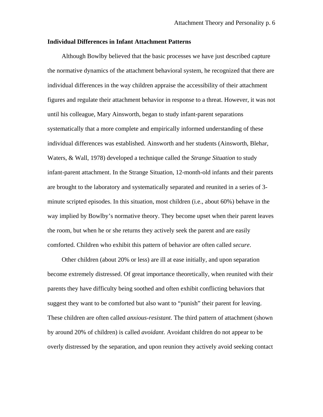#### **Individual Differences in Infant Attachment Patterns**

Although Bowlby believed that the basic processes we have just described capture the normative dynamics of the attachment behavioral system, he recognized that there are individual differences in the way children appraise the accessibility of their attachment figures and regulate their attachment behavior in response to a threat. However, it was not until his colleague, Mary Ainsworth, began to study infant-parent separations systematically that a more complete and empirically informed understanding of these individual differences was established. Ainsworth and her students (Ainsworth, Blehar, Waters, & Wall, 1978) developed a technique called the *Strange Situation* to study infant-parent attachment. In the Strange Situation, 12-month-old infants and their parents are brought to the laboratory and systematically separated and reunited in a series of 3 minute scripted episodes. In this situation, most children (i.e., about 60%) behave in the way implied by Bowlby's normative theory. They become upset when their parent leaves the room, but when he or she returns they actively seek the parent and are easily comforted. Children who exhibit this pattern of behavior are often called *secure*.

Other children (about 20% or less) are ill at ease initially, and upon separation become extremely distressed. Of great importance theoretically, when reunited with their parents they have difficulty being soothed and often exhibit conflicting behaviors that suggest they want to be comforted but also want to "punish" their parent for leaving. These children are often called *anxious-resistant*. The third pattern of attachment (shown by around 20% of children) is called *avoidant*. Avoidant children do not appear to be overly distressed by the separation, and upon reunion they actively avoid seeking contact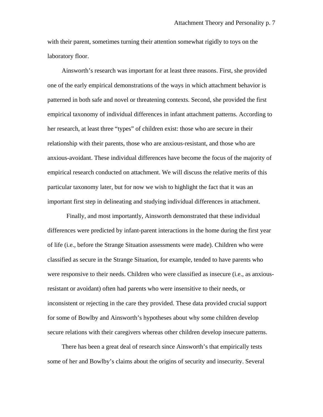with their parent, sometimes turning their attention somewhat rigidly to toys on the laboratory floor.

Ainsworth's research was important for at least three reasons. First, she provided one of the early empirical demonstrations of the ways in which attachment behavior is patterned in both safe and novel or threatening contexts. Second, she provided the first empirical taxonomy of individual differences in infant attachment patterns. According to her research, at least three "types" of children exist: those who are secure in their relationship with their parents, those who are anxious-resistant, and those who are anxious-avoidant. These individual differences have become the focus of the majority of empirical research conducted on attachment. We will discuss the relative merits of this particular taxonomy later, but for now we wish to highlight the fact that it was an important first step in delineating and studying individual differences in attachment.

 Finally, and most importantly, Ainsworth demonstrated that these individual differences were predicted by infant-parent interactions in the home during the first year of life (i.e., before the Strange Situation assessments were made). Children who were classified as secure in the Strange Situation, for example, tended to have parents who were responsive to their needs. Children who were classified as insecure (i.e., as anxiousresistant or avoidant) often had parents who were insensitive to their needs, or inconsistent or rejecting in the care they provided. These data provided crucial support for some of Bowlby and Ainsworth's hypotheses about why some children develop secure relations with their caregivers whereas other children develop insecure patterns.

There has been a great deal of research since Ainsworth's that empirically tests some of her and Bowlby's claims about the origins of security and insecurity. Several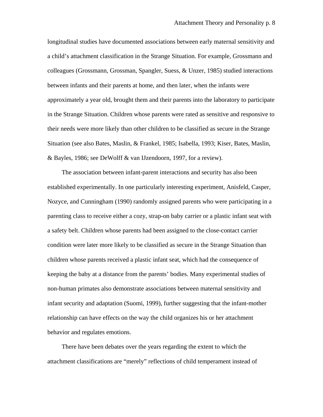longitudinal studies have documented associations between early maternal sensitivity and a child's attachment classification in the Strange Situation. For example, Grossmann and colleagues (Grossmann, Grossman, Spangler, Suess, & Unzer, 1985) studied interactions between infants and their parents at home, and then later, when the infants were approximately a year old, brought them and their parents into the laboratory to participate in the Strange Situation. Children whose parents were rated as sensitive and responsive to their needs were more likely than other children to be classified as secure in the Strange Situation (see also Bates, Maslin, & Frankel, 1985; Isabella, 1993; Kiser, Bates, Maslin, & Bayles, 1986; see DeWolff & van IJzendoorn, 1997, for a review).

The association between infant-parent interactions and security has also been established experimentally. In one particularly interesting experiment, Anisfeld, Casper, Nozyce, and Cunningham (1990) randomly assigned parents who were participating in a parenting class to receive either a cozy, strap-on baby carrier or a plastic infant seat with a safety belt. Children whose parents had been assigned to the close-contact carrier condition were later more likely to be classified as secure in the Strange Situation than children whose parents received a plastic infant seat, which had the consequence of keeping the baby at a distance from the parents' bodies. Many experimental studies of non-human primates also demonstrate associations between maternal sensitivity and infant security and adaptation (Suomi, 1999), further suggesting that the infant-mother relationship can have effects on the way the child organizes his or her attachment behavior and regulates emotions.

There have been debates over the years regarding the extent to which the attachment classifications are "merely" reflections of child temperament instead of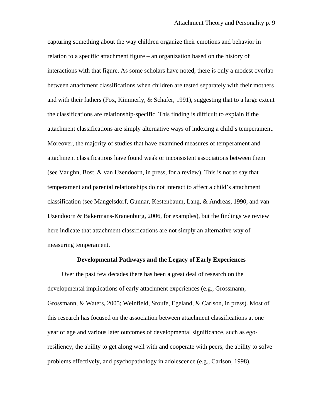capturing something about the way children organize their emotions and behavior in relation to a specific attachment figure – an organization based on the history of interactions with that figure. As some scholars have noted, there is only a modest overlap between attachment classifications when children are tested separately with their mothers and with their fathers (Fox, Kimmerly,  $&$  Schafer, 1991), suggesting that to a large extent the classifications are relationship-specific. This finding is difficult to explain if the attachment classifications are simply alternative ways of indexing a child's temperament. Moreover, the majority of studies that have examined measures of temperament and attachment classifications have found weak or inconsistent associations between them (see Vaughn, Bost, & van IJzendoorn, in press, for a review). This is not to say that temperament and parental relationships do not interact to affect a child's attachment classification (see Mangelsdorf, Gunnar, Kestenbaum, Lang, & Andreas, 1990, and van IJzendoorn & Bakermans-Kranenburg, 2006, for examples), but the findings we review here indicate that attachment classifications are not simply an alternative way of measuring temperament.

#### **Developmental Pathways and the Legacy of Early Experiences**

Over the past few decades there has been a great deal of research on the developmental implications of early attachment experiences (e.g., Grossmann, Grossmann, & Waters, 2005; Weinfield, Sroufe, Egeland, & Carlson, in press). Most of this research has focused on the association between attachment classifications at one year of age and various later outcomes of developmental significance, such as egoresiliency, the ability to get along well with and cooperate with peers, the ability to solve problems effectively, and psychopathology in adolescence (e.g., Carlson, 1998).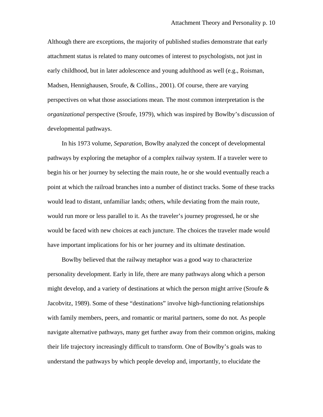Although there are exceptions, the majority of published studies demonstrate that early attachment status is related to many outcomes of interest to psychologists, not just in early childhood, but in later adolescence and young adulthood as well (e.g., Roisman, Madsen, Hennighausen, Sroufe, & Collins., 2001). Of course, there are varying perspectives on what those associations mean. The most common interpretation is the *organizational* perspective (Sroufe, 1979), which was inspired by Bowlby's discussion of developmental pathways.

In his 1973 volume, *Separation*, Bowlby analyzed the concept of developmental pathways by exploring the metaphor of a complex railway system. If a traveler were to begin his or her journey by selecting the main route, he or she would eventually reach a point at which the railroad branches into a number of distinct tracks. Some of these tracks would lead to distant, unfamiliar lands; others, while deviating from the main route, would run more or less parallel to it. As the traveler's journey progressed, he or she would be faced with new choices at each juncture. The choices the traveler made would have important implications for his or her journey and its ultimate destination.

Bowlby believed that the railway metaphor was a good way to characterize personality development. Early in life, there are many pathways along which a person might develop, and a variety of destinations at which the person might arrive (Sroufe  $\&$ Jacobvitz, 1989). Some of these "destinations" involve high-functioning relationships with family members, peers, and romantic or marital partners, some do not. As people navigate alternative pathways, many get further away from their common origins, making their life trajectory increasingly difficult to transform. One of Bowlby's goals was to understand the pathways by which people develop and, importantly, to elucidate the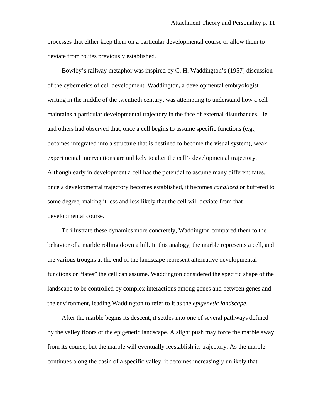processes that either keep them on a particular developmental course or allow them to deviate from routes previously established.

Bowlby's railway metaphor was inspired by C. H. Waddington's (1957) discussion of the cybernetics of cell development. Waddington, a developmental embryologist writing in the middle of the twentieth century, was attempting to understand how a cell maintains a particular developmental trajectory in the face of external disturbances. He and others had observed that, once a cell begins to assume specific functions (e.g., becomes integrated into a structure that is destined to become the visual system), weak experimental interventions are unlikely to alter the cell's developmental trajectory. Although early in development a cell has the potential to assume many different fates, once a developmental trajectory becomes established, it becomes *canalized* or buffered to some degree, making it less and less likely that the cell will deviate from that developmental course.

To illustrate these dynamics more concretely, Waddington compared them to the behavior of a marble rolling down a hill. In this analogy, the marble represents a cell, and the various troughs at the end of the landscape represent alternative developmental functions or "fates" the cell can assume. Waddington considered the specific shape of the landscape to be controlled by complex interactions among genes and between genes and the environment, leading Waddington to refer to it as the *epigenetic landscape*.

After the marble begins its descent, it settles into one of several pathways defined by the valley floors of the epigenetic landscape. A slight push may force the marble away from its course, but the marble will eventually reestablish its trajectory. As the marble continues along the basin of a specific valley, it becomes increasingly unlikely that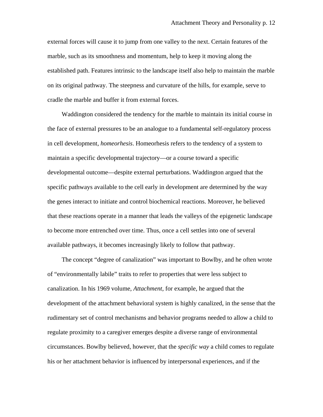external forces will cause it to jump from one valley to the next. Certain features of the marble, such as its smoothness and momentum, help to keep it moving along the established path. Features intrinsic to the landscape itself also help to maintain the marble on its original pathway. The steepness and curvature of the hills, for example, serve to cradle the marble and buffer it from external forces.

Waddington considered the tendency for the marble to maintain its initial course in the face of external pressures to be an analogue to a fundamental self-regulatory process in cell development, *homeorhesis*. Homeorhesis refers to the tendency of a system to maintain a specific developmental trajectory—or a course toward a specific developmental outcome—despite external perturbations. Waddington argued that the specific pathways available to the cell early in development are determined by the way the genes interact to initiate and control biochemical reactions. Moreover, he believed that these reactions operate in a manner that leads the valleys of the epigenetic landscape to become more entrenched over time. Thus, once a cell settles into one of several available pathways, it becomes increasingly likely to follow that pathway.

The concept "degree of canalization" was important to Bowlby, and he often wrote of "environmentally labile" traits to refer to properties that were less subject to canalization. In his 1969 volume, *Attachment*, for example, he argued that the development of the attachment behavioral system is highly canalized, in the sense that the rudimentary set of control mechanisms and behavior programs needed to allow a child to regulate proximity to a caregiver emerges despite a diverse range of environmental circumstances. Bowlby believed, however, that the *specific way* a child comes to regulate his or her attachment behavior is influenced by interpersonal experiences, and if the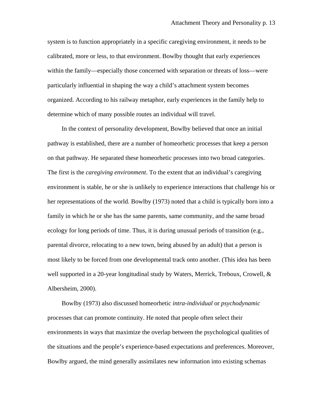system is to function appropriately in a specific caregiving environment, it needs to be calibrated, more or less, to that environment. Bowlby thought that early experiences within the family—especially those concerned with separation or threats of loss—were particularly influential in shaping the way a child's attachment system becomes organized. According to his railway metaphor, early experiences in the family help to determine which of many possible routes an individual will travel.

In the context of personality development, Bowlby believed that once an initial pathway is established, there are a number of homeorhetic processes that keep a person on that pathway. He separated these homeorhetic processes into two broad categories. The first is the *caregiving environment*. To the extent that an individual's caregiving environment is stable, he or she is unlikely to experience interactions that challenge his or her representations of the world. Bowlby (1973) noted that a child is typically born into a family in which he or she has the same parents, same community, and the same broad ecology for long periods of time. Thus, it is during unusual periods of transition (e.g., parental divorce, relocating to a new town, being abused by an adult) that a person is most likely to be forced from one developmental track onto another. (This idea has been well supported in a 20-year longitudinal study by Waters, Merrick, Treboux, Crowell, & Albersheim, 2000).

Bowlby (1973) also discussed homeorhetic *intra-individual* or *psychodynamic* processes that can promote continuity. He noted that people often select their environments in ways that maximize the overlap between the psychological qualities of the situations and the people's experience-based expectations and preferences. Moreover, Bowlby argued, the mind generally assimilates new information into existing schemas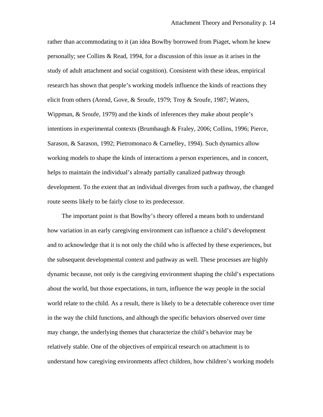rather than accommodating to it (an idea Bowlby borrowed from Piaget, whom he knew personally; see Collins & Read, 1994, for a discussion of this issue as it arises in the study of adult attachment and social cognition). Consistent with these ideas, empirical research has shown that people's working models influence the kinds of reactions they elicit from others (Arend, Gove, & Sroufe, 1979; Troy & Sroufe, 1987; Waters, Wippman, & Sroufe, 1979) and the kinds of inferences they make about people's intentions in experimental contexts (Brumbaugh & Fraley, 2006; Collins, 1996; Pierce, Sarason, & Sarason, 1992; Pietromonaco & Carnelley, 1994). Such dynamics allow working models to shape the kinds of interactions a person experiences, and in concert, helps to maintain the individual's already partially canalized pathway through development. To the extent that an individual diverges from such a pathway, the changed route seems likely to be fairly close to its predecessor.

The important point is that Bowlby's theory offered a means both to understand how variation in an early caregiving environment can influence a child's development and to acknowledge that it is not only the child who is affected by these experiences, but the subsequent developmental context and pathway as well. These processes are highly dynamic because, not only is the caregiving environment shaping the child's expectations about the world, but those expectations, in turn, influence the way people in the social world relate to the child. As a result, there is likely to be a detectable coherence over time in the way the child functions, and although the specific behaviors observed over time may change, the underlying themes that characterize the child's behavior may be relatively stable. One of the objectives of empirical research on attachment is to understand how caregiving environments affect children, how children's working models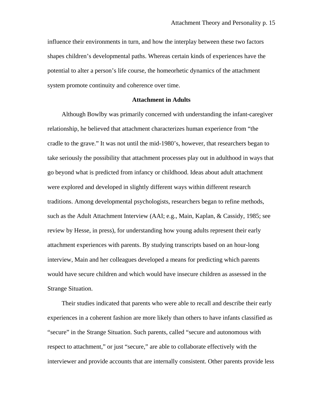influence their environments in turn, and how the interplay between these two factors shapes children's developmental paths. Whereas certain kinds of experiences have the potential to alter a person's life course, the homeorhetic dynamics of the attachment system promote continuity and coherence over time.

#### **Attachment in Adults**

Although Bowlby was primarily concerned with understanding the infant-caregiver relationship, he believed that attachment characterizes human experience from "the cradle to the grave." It was not until the mid-1980's, however, that researchers began to take seriously the possibility that attachment processes play out in adulthood in ways that go beyond what is predicted from infancy or childhood. Ideas about adult attachment were explored and developed in slightly different ways within different research traditions. Among developmental psychologists, researchers began to refine methods, such as the Adult Attachment Interview (AAI; e.g., Main, Kaplan, & Cassidy, 1985; see review by Hesse, in press), for understanding how young adults represent their early attachment experiences with parents. By studying transcripts based on an hour-long interview, Main and her colleagues developed a means for predicting which parents would have secure children and which would have insecure children as assessed in the Strange Situation.

Their studies indicated that parents who were able to recall and describe their early experiences in a coherent fashion are more likely than others to have infants classified as "secure" in the Strange Situation. Such parents, called "secure and autonomous with respect to attachment," or just "secure," are able to collaborate effectively with the interviewer and provide accounts that are internally consistent. Other parents provide less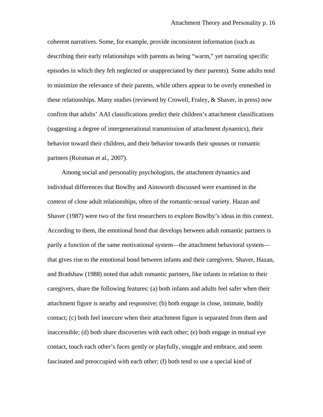coherent narratives. Some, for example, provide inconsistent information (such as describing their early relationships with parents as being "warm," yet narrating specific episodes in which they felt neglected or unappreciated by their parents). Some adults tend to minimize the relevance of their parents, while others appear to be overly enmeshed in these relationships. Many studies (reviewed by Crowell, Fraley, & Shaver, in press) now confirm that adults' AAI classifications predict their children's attachment classifications (suggesting a degree of intergenerational transmission of attachment dynamics), their behavior toward their children, and their behavior towards their spouses or romantic partners (Roisman et al., 2007).

Among social and personality psychologists, the attachment dynamics and individual differences that Bowlby and Ainsworth discussed were examined in the context of close adult relationships, often of the romantic-sexual variety. Hazan and Shaver (1987) were two of the first researchers to explore Bowlby's ideas in this context. According to them, the emotional bond that develops between adult romantic partners is partly a function of the same motivational system—the attachment behavioral system that gives rise to the emotional bond between infants and their caregivers. Shaver, Hazan, and Bradshaw (1988) noted that adult romantic partners, like infants in relation to their caregivers, share the following features: (a) both infants and adults feel safer when their attachment figure is nearby and responsive; (b) both engage in close, intimate, bodily contact; (c) both feel insecure when their attachment figure is separated from them and inaccessible; (d) both share discoveries with each other; (e) both engage in mutual eye contact, touch each other's faces gently or playfully, snuggle and embrace, and seem fascinated and preoccupied with each other; (f) both tend to use a special kind of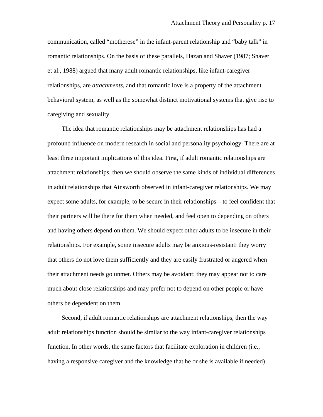communication, called "motherese" in the infant-parent relationship and "baby talk" in romantic relationships. On the basis of these parallels, Hazan and Shaver (1987; Shaver et al., 1988) argued that many adult romantic relationships, like infant-caregiver relationships, are *attachments*, and that romantic love is a property of the attachment behavioral system, as well as the somewhat distinct motivational systems that give rise to caregiving and sexuality.

The idea that romantic relationships may be attachment relationships has had a profound influence on modern research in social and personality psychology. There are at least three important implications of this idea. First, if adult romantic relationships are attachment relationships, then we should observe the same kinds of individual differences in adult relationships that Ainsworth observed in infant-caregiver relationships. We may expect some adults, for example, to be secure in their relationships—to feel confident that their partners will be there for them when needed, and feel open to depending on others and having others depend on them. We should expect other adults to be insecure in their relationships. For example, some insecure adults may be anxious-resistant: they worry that others do not love them sufficiently and they are easily frustrated or angered when their attachment needs go unmet. Others may be avoidant: they may appear not to care much about close relationships and may prefer not to depend on other people or have others be dependent on them.

Second, if adult romantic relationships are attachment relationships, then the way adult relationships function should be similar to the way infant-caregiver relationships function. In other words, the same factors that facilitate exploration in children (i.e., having a responsive caregiver and the knowledge that he or she is available if needed)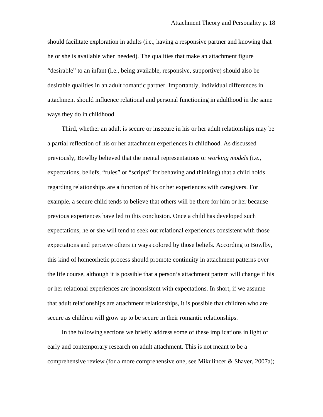should facilitate exploration in adults (i.e., having a responsive partner and knowing that he or she is available when needed). The qualities that make an attachment figure "desirable" to an infant (i.e., being available, responsive, supportive) should also be desirable qualities in an adult romantic partner. Importantly, individual differences in attachment should influence relational and personal functioning in adulthood in the same ways they do in childhood.

Third, whether an adult is secure or insecure in his or her adult relationships may be a partial reflection of his or her attachment experiences in childhood. As discussed previously, Bowlby believed that the mental representations or *working models* (i.e., expectations, beliefs, "rules" or "scripts" for behaving and thinking) that a child holds regarding relationships are a function of his or her experiences with caregivers. For example, a secure child tends to believe that others will be there for him or her because previous experiences have led to this conclusion. Once a child has developed such expectations, he or she will tend to seek out relational experiences consistent with those expectations and perceive others in ways colored by those beliefs. According to Bowlby, this kind of homeorhetic process should promote continuity in attachment patterns over the life course, although it is possible that a person's attachment pattern will change if his or her relational experiences are inconsistent with expectations. In short, if we assume that adult relationships are attachment relationships, it is possible that children who are secure as children will grow up to be secure in their romantic relationships.

In the following sections we briefly address some of these implications in light of early and contemporary research on adult attachment. This is not meant to be a comprehensive review (for a more comprehensive one, see Mikulincer & Shaver, 2007a);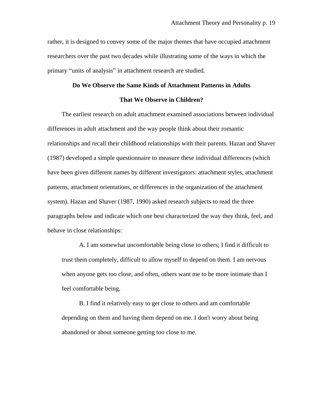rather, it is designed to convey some of the major themes that have occupied attachment researchers over the past two decades while illustrating some of the ways in which the primary "units of analysis" in attachment research are studied.

# **Do We Observe the Same Kinds of Attachment Patterns in Adults**

# **That We Observe in Children?**

The earliest research on adult attachment examined associations between individual differences in adult attachment and the way people think about their romantic relationships and recall their childhood relationships with their parents. Hazan and Shaver (1987) developed a simple questionnaire to measure these individual differences (which have been given different names by different investigators: attachment styles, attachment patterns, attachment orientations, or differences in the organization of the attachment system). Hazan and Shaver (1987, 1990) asked research subjects to read the three paragraphs below and indicate which one best characterized the way they think, feel, and behave in close relationships:

 A. I am somewhat uncomfortable being close to others; I find it difficult to trust them completely, difficult to allow myself to depend on them. I am nervous when anyone gets too close, and often, others want me to be more intimate than I feel comfortable being.

 B. I find it relatively easy to get close to others and am comfortable depending on them and having them depend on me. I don't worry about being abandoned or about someone getting too close to me.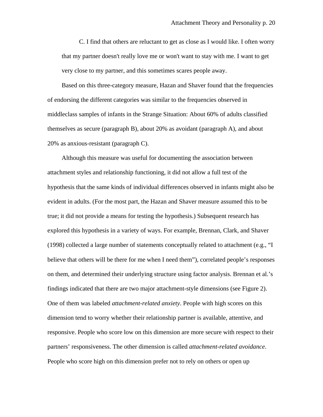C. I find that others are reluctant to get as close as I would like. I often worry that my partner doesn't really love me or won't want to stay with me. I want to get very close to my partner, and this sometimes scares people away.

Based on this three-category measure, Hazan and Shaver found that the frequencies of endorsing the different categories was similar to the frequencies observed in middleclass samples of infants in the Strange Situation: About 60% of adults classified themselves as secure (paragraph B), about 20% as avoidant (paragraph A), and about 20% as anxious-resistant (paragraph C).

Although this measure was useful for documenting the association between attachment styles and relationship functioning, it did not allow a full test of the hypothesis that the same kinds of individual differences observed in infants might also be evident in adults. (For the most part, the Hazan and Shaver measure assumed this to be true; it did not provide a means for testing the hypothesis.) Subsequent research has explored this hypothesis in a variety of ways. For example, Brennan, Clark, and Shaver (1998) collected a large number of statements conceptually related to attachment (e.g., "I believe that others will be there for me when I need them"), correlated people's responses on them, and determined their underlying structure using factor analysis. Brennan et al.'s findings indicated that there are two major attachment-style dimensions (see Figure 2). One of them was labeled *attachment-related anxiety*. People with high scores on this dimension tend to worry whether their relationship partner is available, attentive, and responsive. People who score low on this dimension are more secure with respect to their partners' responsiveness. The other dimension is called *attachment-related avoidance*. People who score high on this dimension prefer not to rely on others or open up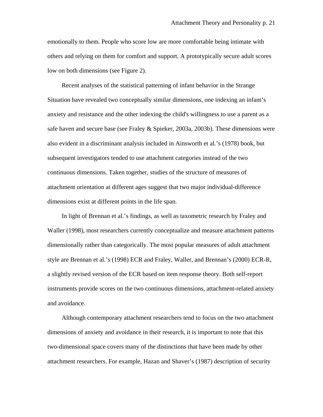emotionally to them. People who score low are more comfortable being intimate with others and relying on them for comfort and support. A prototypically secure adult scores low on both dimensions (see Figure 2).

Recent analyses of the statistical patterning of infant behavior in the Strange Situation have revealed two conceptually similar dimensions, one indexing an infant's anxiety and resistance and the other indexing the child's willingness to use a parent as a safe haven and secure base (see Fraley & Spieker, 2003a, 2003b). These dimensions were also evident in a discriminant analysis included in Ainsworth et al.'s (1978) book, but subsequent investigators tended to use attachment categories instead of the two continuous dimensions. Taken together, studies of the structure of measures of attachment orientation at different ages suggest that two major individual-difference dimensions exist at different points in the life span.

In light of Brennan et al.'s findings, as well as taxometric research by Fraley and Waller (1998), most researchers currently conceptualize and measure attachment patterns dimensionally rather than categorically. The most popular measures of adult attachment style are Brennan et al.'s (1998) ECR and Fraley, Waller, and Brennan's (2000) ECR-R, a slightly revised version of the ECR based on item response theory. Both self-report instruments provide scores on the two continuous dimensions, attachment-related anxiety and avoidance.

Although contemporary attachment researchers tend to focus on the two attachment dimensions of anxiety and avoidance in their research, it is important to note that this two-dimensional space covers many of the distinctions that have been made by other attachment researchers. For example, Hazan and Shaver's (1987) description of security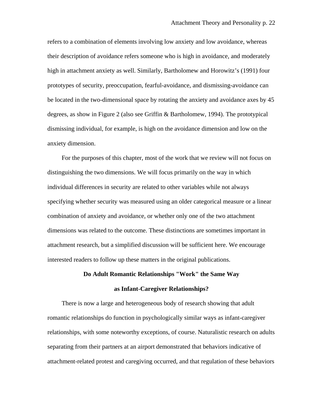refers to a combination of elements involving low anxiety and low avoidance, whereas their description of avoidance refers someone who is high in avoidance, and moderately high in attachment anxiety as well. Similarly, Bartholomew and Horowitz's (1991) four prototypes of security, preoccupation, fearful-avoidance, and dismissing-avoidance can be located in the two-dimensional space by rotating the anxiety and avoidance axes by 45 degrees, as show in Figure 2 (also see Griffin & Bartholomew, 1994). The prototypical dismissing individual, for example, is high on the avoidance dimension and low on the anxiety dimension.

For the purposes of this chapter, most of the work that we review will not focus on distinguishing the two dimensions. We will focus primarily on the way in which individual differences in security are related to other variables while not always specifying whether security was measured using an older categorical measure or a linear combination of anxiety and avoidance, or whether only one of the two attachment dimensions was related to the outcome. These distinctions are sometimes important in attachment research, but a simplified discussion will be sufficient here. We encourage interested readers to follow up these matters in the original publications.

# **Do Adult Romantic Relationships "Work" the Same Way as Infant-Caregiver Relationships?**

There is now a large and heterogeneous body of research showing that adult romantic relationships do function in psychologically similar ways as infant-caregiver relationships, with some noteworthy exceptions, of course. Naturalistic research on adults separating from their partners at an airport demonstrated that behaviors indicative of attachment-related protest and caregiving occurred, and that regulation of these behaviors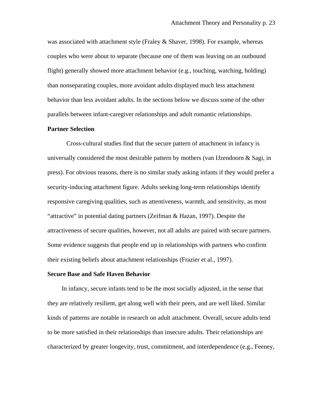was associated with attachment style (Fraley  $&$  Shaver, 1998). For example, whereas couples who were about to separate (because one of them was leaving on an outbound flight) generally showed more attachment behavior (e.g., touching, watching, holding) than nonseparating couples, more avoidant adults displayed much less attachment behavior than less avoidant adults. In the sections below we discuss some of the other parallels between infant-caregiver relationships and adult romantic relationships.

## **Partner Selection**

Cross-cultural studies find that the secure pattern of attachment in infancy is universally considered the most desirable pattern by mothers (van IJzendoorn & Sagi, in press). For obvious reasons, there is no similar study asking infants if they would prefer a security-inducing attachment figure. Adults seeking long-term relationships identify responsive caregiving qualities, such as attentiveness, warmth, and sensitivity, as most "attractive" in potential dating partners (Zeifman & Hazan, 1997). Despite the attractiveness of secure qualities, however, not all adults are paired with secure partners. Some evidence suggests that people end up in relationships with partners who confirm their existing beliefs about attachment relationships (Frazier et al., 1997).

#### **Secure Base and Safe Haven Behavior**

In infancy, secure infants tend to be the most socially adjusted, in the sense that they are relatively resilient, get along well with their peers, and are well liked. Similar kinds of patterns are notable in research on adult attachment. Overall, secure adults tend to be more satisfied in their relationships than insecure adults. Their relationships are characterized by greater longevity, trust, commitment, and interdependence (e.g., Feeney,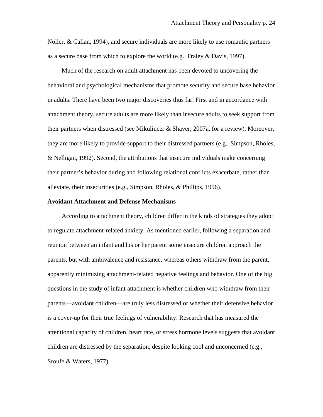Noller, & Callan, 1994), and secure individuals are more likely to use romantic partners as a secure base from which to explore the world (e.g., Fraley & Davis, 1997).

Much of the research on adult attachment has been devoted to uncovering the behavioral and psychological mechanisms that promote security and secure base behavior in adults. There have been two major discoveries thus far. First and in accordance with attachment theory, secure adults are more likely than insecure adults to seek support from their partners when distressed (see Mikulincer & Shaver, 2007a, for a review). Moreover, they are more likely to provide support to their distressed partners (e.g., Simpson, Rholes, & Nelligan, 1992). Second, the attributions that insecure individuals make concerning their partner's behavior during and following relational conflicts exacerbate, rather than alleviate, their insecurities (e.g., Simpson, Rholes, & Phillips, 1996).

#### **Avoidant Attachment and Defense Mechanisms**

According to attachment theory, children differ in the kinds of strategies they adopt to regulate attachment-related anxiety. As mentioned earlier, following a separation and reunion between an infant and his or her parent some insecure children approach the parents, but with ambivalence and resistance, whereas others withdraw from the parent, apparently minimizing attachment-related negative feelings and behavior. One of the big questions in the study of infant attachment is whether children who withdraw from their parents—avoidant children—are truly less distressed or whether their defensive behavior is a cover-up for their true feelings of vulnerability. Research that has measured the attentional capacity of children, heart rate, or stress hormone levels suggests that avoidant children are distressed by the separation, despite looking cool and unconcerned (e.g., Sroufe & Waters, 1977).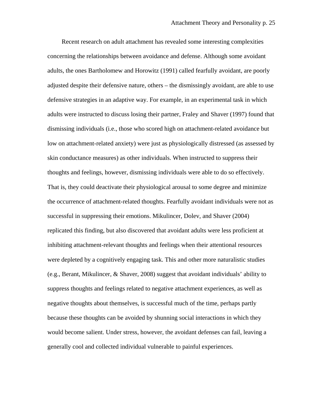Recent research on adult attachment has revealed some interesting complexities concerning the relationships between avoidance and defense. Although some avoidant adults, the ones Bartholomew and Horowitz (1991) called fearfully avoidant, are poorly adjusted despite their defensive nature, others – the dismissingly avoidant, are able to use defensive strategies in an adaptive way. For example, in an experimental task in which adults were instructed to discuss losing their partner, Fraley and Shaver (1997) found that dismissing individuals (i.e., those who scored high on attachment-related avoidance but low on attachment-related anxiety) were just as physiologically distressed (as assessed by skin conductance measures) as other individuals. When instructed to suppress their thoughts and feelings, however, dismissing individuals were able to do so effectively. That is, they could deactivate their physiological arousal to some degree and minimize the occurrence of attachment-related thoughts. Fearfully avoidant individuals were not as successful in suppressing their emotions. Mikulincer, Dolev, and Shaver (2004) replicated this finding, but also discovered that avoidant adults were less proficient at inhibiting attachment-relevant thoughts and feelings when their attentional resources were depleted by a cognitively engaging task. This and other more naturalistic studies (e.g., Berant, Mikulincer, & Shaver, 2008) suggest that avoidant individuals' ability to suppress thoughts and feelings related to negative attachment experiences, as well as negative thoughts about themselves, is successful much of the time, perhaps partly because these thoughts can be avoided by shunning social interactions in which they would become salient. Under stress, however, the avoidant defenses can fail, leaving a generally cool and collected individual vulnerable to painful experiences.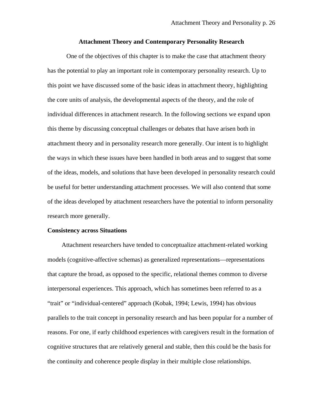#### **Attachment Theory and Contemporary Personality Research**

One of the objectives of this chapter is to make the case that attachment theory has the potential to play an important role in contemporary personality research. Up to this point we have discussed some of the basic ideas in attachment theory, highlighting the core units of analysis, the developmental aspects of the theory, and the role of individual differences in attachment research. In the following sections we expand upon this theme by discussing conceptual challenges or debates that have arisen both in attachment theory and in personality research more generally. Our intent is to highlight the ways in which these issues have been handled in both areas and to suggest that some of the ideas, models, and solutions that have been developed in personality research could be useful for better understanding attachment processes. We will also contend that some of the ideas developed by attachment researchers have the potential to inform personality research more generally.

#### **Consistency across Situations**

Attachment researchers have tended to conceptualize attachment-related working models (cognitive-affective schemas) as generalized representations—representations that capture the broad, as opposed to the specific, relational themes common to diverse interpersonal experiences. This approach, which has sometimes been referred to as a "trait" or "individual-centered" approach (Kobak, 1994; Lewis, 1994) has obvious parallels to the trait concept in personality research and has been popular for a number of reasons. For one, if early childhood experiences with caregivers result in the formation of cognitive structures that are relatively general and stable, then this could be the basis for the continuity and coherence people display in their multiple close relationships.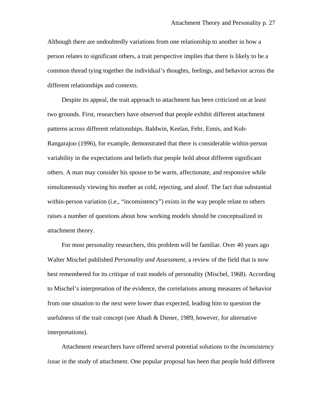Although there are undoubtedly variations from one relationship to another in how a person relates to significant others, a trait perspective implies that there is likely to be a common thread tying together the individual's thoughts, feelings, and behavior across the different relationships and contexts.

Despite its appeal, the trait approach to attachment has been criticized on at least two grounds. First, researchers have observed that people exhibit different attachment patterns across different relationships. Baldwin, Keelan, Fehr, Ennis, and Koh-Rangarajoo (1996), for example, demonstrated that there is considerable within-person variability in the expectations and beliefs that people hold about different significant others. A man may consider his spouse to be warm, affectionate, and responsive while simultaneously viewing his mother as cold, rejecting, and aloof. The fact that substantial within-person variation (i.e., "inconsistency") exists in the way people relate to others raises a number of questions about how working models should be conceptualized in attachment theory.

For most personality researchers, this problem will be familiar. Over 40 years ago Walter Mischel published *Personality and Assessment*, a review of the field that is now best remembered for its critique of trait models of personality (Mischel, 1968). According to Mischel's interpretation of the evidence, the correlations among measures of behavior from one situation to the next were lower than expected, leading him to question the usefulness of the trait concept (see Ahadi & Diener, 1989, however, for alternative interpretations).

Attachment researchers have offered several potential solutions to the *inconsistency issue* in the study of attachment. One popular proposal has been that people hold different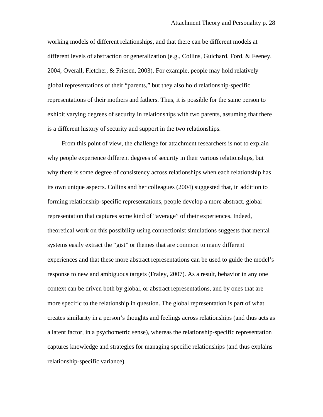working models of different relationships, and that there can be different models at different levels of abstraction or generalization (e.g., Collins, Guichard, Ford, & Feeney, 2004; Overall, Fletcher, & Friesen, 2003). For example, people may hold relatively global representations of their "parents," but they also hold relationship-specific representations of their mothers and fathers. Thus, it is possible for the same person to exhibit varying degrees of security in relationships with two parents, assuming that there is a different history of security and support in the two relationships.

From this point of view, the challenge for attachment researchers is not to explain why people experience different degrees of security in their various relationships, but why there is some degree of consistency across relationships when each relationship has its own unique aspects. Collins and her colleagues (2004) suggested that, in addition to forming relationship-specific representations, people develop a more abstract, global representation that captures some kind of "average" of their experiences. Indeed, theoretical work on this possibility using connectionist simulations suggests that mental systems easily extract the "gist" or themes that are common to many different experiences and that these more abstract representations can be used to guide the model's response to new and ambiguous targets (Fraley, 2007). As a result, behavior in any one context can be driven both by global, or abstract representations, and by ones that are more specific to the relationship in question. The global representation is part of what creates similarity in a person's thoughts and feelings across relationships (and thus acts as a latent factor, in a psychometric sense), whereas the relationship-specific representation captures knowledge and strategies for managing specific relationships (and thus explains relationship-specific variance).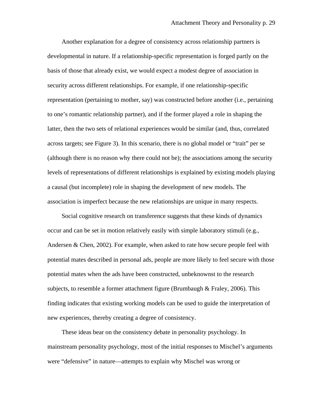Another explanation for a degree of consistency across relationship partners is developmental in nature. If a relationship-specific representation is forged partly on the basis of those that already exist, we would expect a modest degree of association in security across different relationships. For example, if one relationship-specific representation (pertaining to mother, say) was constructed before another (i.e., pertaining to one's romantic relationship partner), and if the former played a role in shaping the latter, then the two sets of relational experiences would be similar (and, thus, correlated across targets; see Figure 3). In this scenario, there is no global model or "trait" per se (although there is no reason why there could not be); the associations among the security levels of representations of different relationships is explained by existing models playing a causal (but incomplete) role in shaping the development of new models. The association is imperfect because the new relationships are unique in many respects.

Social cognitive research on transference suggests that these kinds of dynamics occur and can be set in motion relatively easily with simple laboratory stimuli (e.g., Andersen & Chen, 2002). For example, when asked to rate how secure people feel with potential mates described in personal ads, people are more likely to feel secure with those potential mates when the ads have been constructed, unbeknownst to the research subjects, to resemble a former attachment figure (Brumbaugh & Fraley, 2006). This finding indicates that existing working models can be used to guide the interpretation of new experiences, thereby creating a degree of consistency.

These ideas bear on the consistency debate in personality psychology. In mainstream personality psychology, most of the initial responses to Mischel's arguments were "defensive" in nature—attempts to explain why Mischel was wrong or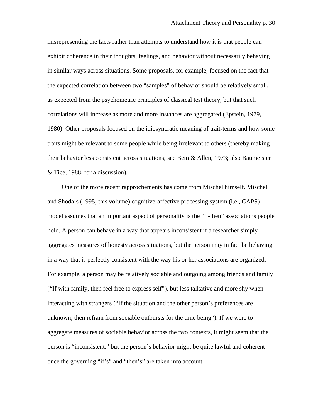misrepresenting the facts rather than attempts to understand how it is that people can exhibit coherence in their thoughts, feelings, and behavior without necessarily behaving in similar ways across situations. Some proposals, for example, focused on the fact that the expected correlation between two "samples" of behavior should be relatively small, as expected from the psychometric principles of classical test theory, but that such correlations will increase as more and more instances are aggregated (Epstein, 1979, 1980). Other proposals focused on the idiosyncratic meaning of trait-terms and how some traits might be relevant to some people while being irrelevant to others (thereby making their behavior less consistent across situations; see Bem & Allen, 1973; also Baumeister & Tice, 1988, for a discussion).

One of the more recent rapprochements has come from Mischel himself. Mischel and Shoda's (1995; this volume) cognitive-affective processing system (i.e., CAPS) model assumes that an important aspect of personality is the "if-then" associations people hold. A person can behave in a way that appears inconsistent if a researcher simply aggregates measures of honesty across situations, but the person may in fact be behaving in a way that is perfectly consistent with the way his or her associations are organized. For example, a person may be relatively sociable and outgoing among friends and family ("If with family, then feel free to express self"), but less talkative and more shy when interacting with strangers ("If the situation and the other person's preferences are unknown, then refrain from sociable outbursts for the time being"). If we were to aggregate measures of sociable behavior across the two contexts, it might seem that the person is "inconsistent," but the person's behavior might be quite lawful and coherent once the governing "if's" and "then's" are taken into account.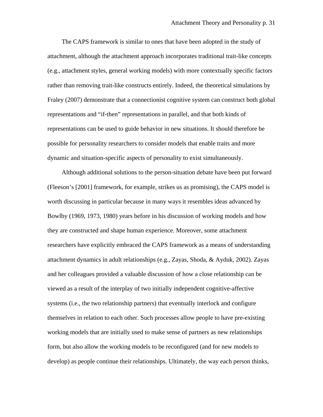The CAPS framework is similar to ones that have been adopted in the study of attachment, although the attachment approach incorporates traditional trait-like concepts (e.g., attachment styles, general working models) with more contextually specific factors rather than removing trait-like constructs entirely. Indeed, the theoretical simulations by Fraley (2007) demonstrate that a connectionist cognitive system can construct both global representations and "if-then" representations in parallel, and that both kinds of representations can be used to guide behavior in new situations. It should therefore be possible for personality researchers to consider models that enable traits and more dynamic and situation-specific aspects of personality to exist simultaneously.

Although additional solutions to the person-situation debate have been put forward (Fleeson's [2001] framework, for example, strikes us as promising), the CAPS model is worth discussing in particular because in many ways it resembles ideas advanced by Bowlby (1969, 1973, 1980) years before in his discussion of working models and how they are constructed and shape human experience. Moreover, some attachment researchers have explicitly embraced the CAPS framework as a means of understanding attachment dynamics in adult relationships (e.g., Zayas, Shoda, & Ayduk, 2002). Zayas and her colleagues provided a valuable discussion of how a close relationship can be viewed as a result of the interplay of two initially independent cognitive-affective systems (i.e., the two relationship partners) that eventually interlock and configure themselves in relation to each other. Such processes allow people to have pre-existing working models that are initially used to make sense of partners as new relationships form, but also allow the working models to be reconfigured (and for new models to develop) as people continue their relationships. Ultimately, the way each person thinks,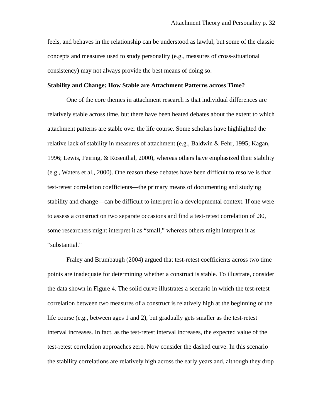feels, and behaves in the relationship can be understood as lawful, but some of the classic concepts and measures used to study personality (e.g., measures of cross-situational consistency) may not always provide the best means of doing so.

#### **Stability and Change: How Stable are Attachment Patterns across Time?**

One of the core themes in attachment research is that individual differences are relatively stable across time, but there have been heated debates about the extent to which attachment patterns are stable over the life course. Some scholars have highlighted the relative lack of stability in measures of attachment (e.g., Baldwin & Fehr, 1995; Kagan, 1996; Lewis, Feiring, & Rosenthal, 2000), whereas others have emphasized their stability (e.g., Waters et al., 2000). One reason these debates have been difficult to resolve is that test-retest correlation coefficients—the primary means of documenting and studying stability and change—can be difficult to interpret in a developmental context. If one were to assess a construct on two separate occasions and find a test-retest correlation of .30, some researchers might interpret it as "small," whereas others might interpret it as "substantial."

 Fraley and Brumbaugh (2004) argued that test-retest coefficients across two time points are inadequate for determining whether a construct is stable. To illustrate, consider the data shown in Figure 4. The solid curve illustrates a scenario in which the test-retest correlation between two measures of a construct is relatively high at the beginning of the life course (e.g., between ages 1 and 2), but gradually gets smaller as the test-retest interval increases. In fact, as the test-retest interval increases, the expected value of the test-retest correlation approaches zero. Now consider the dashed curve. In this scenario the stability correlations are relatively high across the early years and, although they drop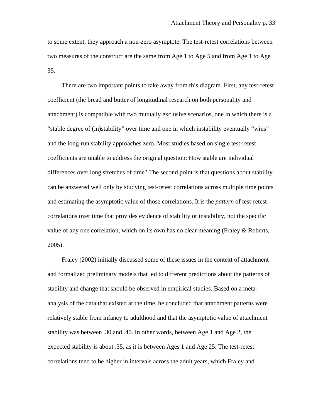to some extent, they approach a non-zero asymptote. The test-retest correlations between two measures of the construct are the same from Age 1 to Age 5 and from Age 1 to Age 35.

There are two important points to take away from this diagram. First, any test-retest coefficient (the bread and butter of longitudinal research on both personality and attachment) is compatible with two mutually exclusive scenarios, one in which there is a "stable degree of (in)stability" over time and one in which instability eventually "wins" and the long-run stability approaches zero. Most studies based on single test-retest coefficients are unable to address the original question: How stable are individual differences over long stretches of time? The second point is that questions about stability can be answered well only by studying test-retest correlations across multiple time points and estimating the asymptotic value of those correlations. It is the *pattern* of test-retest correlations over time that provides evidence of stability or instability, not the specific value of any one correlation, which on its own has no clear meaning (Fraley  $\&$  Roberts, 2005).

Fraley (2002) initially discussed some of these issues in the context of attachment and formalized preliminary models that led to different predictions about the patterns of stability and change that should be observed in empirical studies. Based on a metaanalysis of the data that existed at the time, he concluded that attachment patterns were relatively stable from infancy to adulthood and that the asymptotic value of attachment stability was between .30 and .40. In other words, between Age 1 and Age 2, the expected stability is about .35, as it is between Ages 1 and Age 25. The test-retest correlations tend to be higher in intervals across the adult years, which Fraley and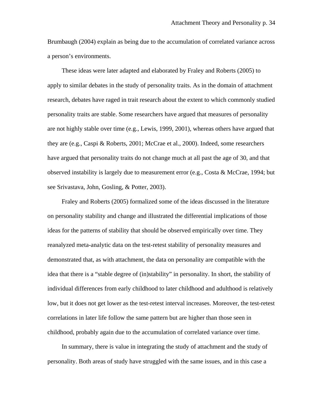Brumbaugh (2004) explain as being due to the accumulation of correlated variance across a person's environments.

These ideas were later adapted and elaborated by Fraley and Roberts (2005) to apply to similar debates in the study of personality traits. As in the domain of attachment research, debates have raged in trait research about the extent to which commonly studied personality traits are stable. Some researchers have argued that measures of personality are not highly stable over time (e.g., Lewis, 1999, 2001), whereas others have argued that they are (e.g., Caspi & Roberts, 2001; McCrae et al., 2000). Indeed, some researchers have argued that personality traits do not change much at all past the age of 30, and that observed instability is largely due to measurement error (e.g., Costa & McCrae, 1994; but see Srivastava, John, Gosling, & Potter, 2003).

Fraley and Roberts (2005) formalized some of the ideas discussed in the literature on personality stability and change and illustrated the differential implications of those ideas for the patterns of stability that should be observed empirically over time. They reanalyzed meta-analytic data on the test-retest stability of personality measures and demonstrated that, as with attachment, the data on personality are compatible with the idea that there is a "stable degree of (in)stability" in personality. In short, the stability of individual differences from early childhood to later childhood and adulthood is relatively low, but it does not get lower as the test-retest interval increases. Moreover, the test-retest correlations in later life follow the same pattern but are higher than those seen in childhood, probably again due to the accumulation of correlated variance over time.

In summary, there is value in integrating the study of attachment and the study of personality. Both areas of study have struggled with the same issues, and in this case a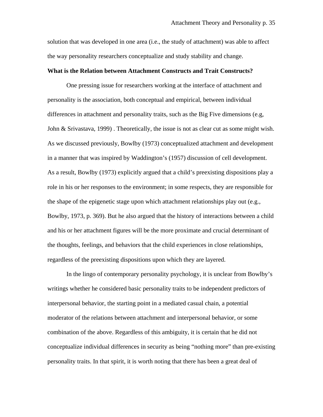solution that was developed in one area (i.e., the study of attachment) was able to affect the way personality researchers conceptualize and study stability and change.

### **What is the Relation between Attachment Constructs and Trait Constructs?**

One pressing issue for researchers working at the interface of attachment and personality is the association, both conceptual and empirical, between individual differences in attachment and personality traits, such as the Big Five dimensions (e.g, John & Srivastava, 1999) . Theoretically, the issue is not as clear cut as some might wish. As we discussed previously, Bowlby (1973) conceptualized attachment and development in a manner that was inspired by Waddington's (1957) discussion of cell development. As a result, Bowlby (1973) explicitly argued that a child's preexisting dispositions play a role in his or her responses to the environment; in some respects, they are responsible for the shape of the epigenetic stage upon which attachment relationships play out (e.g., Bowlby, 1973, p. 369). But he also argued that the history of interactions between a child and his or her attachment figures will be the more proximate and crucial determinant of the thoughts, feelings, and behaviors that the child experiences in close relationships, regardless of the preexisting dispositions upon which they are layered.

In the lingo of contemporary personality psychology, it is unclear from Bowlby's writings whether he considered basic personality traits to be independent predictors of interpersonal behavior, the starting point in a mediated casual chain, a potential moderator of the relations between attachment and interpersonal behavior, or some combination of the above. Regardless of this ambiguity, it is certain that he did not conceptualize individual differences in security as being "nothing more" than pre-existing personality traits. In that spirit, it is worth noting that there has been a great deal of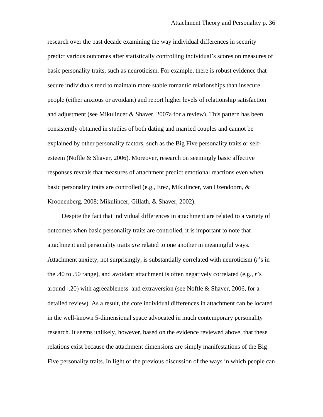research over the past decade examining the way individual differences in security predict various outcomes after statistically controlling individual's scores on measures of basic personality traits, such as neuroticism. For example, there is robust evidence that secure individuals tend to maintain more stable romantic relationships than insecure people (either anxious or avoidant) and report higher levels of relationship satisfaction and adjustment (see Mikulincer & Shaver, 2007a for a review). This pattern has been consistently obtained in studies of both dating and married couples and cannot be explained by other personality factors, such as the Big Five personality traits or selfesteem (Noftle & Shaver, 2006). Moreover, research on seemingly basic affective responses reveals that measures of attachment predict emotional reactions even when basic personality traits are controlled (e.g., Erez, Mikulincer, van IJzendoorn,  $\&$ Kroonenberg, 2008; Mikulincer, Gillath, & Shaver, 2002).

Despite the fact that individual differences in attachment are related to a variety of outcomes when basic personality traits are controlled, it is important to note that attachment and personality traits *are* related to one another in meaningful ways. Attachment anxiety, not surprisingly, is substantially correlated with neuroticism (*r*'s in the .40 to .50 range), and avoidant attachment is often negatively correlated (e.g., *r*'s around -.20) with agreeableness and extraversion (see Noftle & Shaver, 2006, for a detailed review). As a result, the core individual differences in attachment can be located in the well-known 5-dimensional space advocated in much contemporary personality research. It seems unlikely, however, based on the evidence reviewed above, that these relations exist because the attachment dimensions are simply manifestations of the Big Five personality traits. In light of the previous discussion of the ways in which people can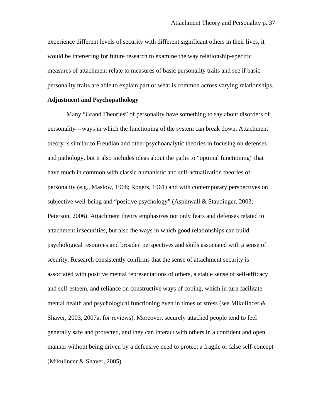experience different levels of security with different significant others in their lives, it would be interesting for future research to examine the way relationship-specific measures of attachment relate to measures of basic personality traits and see if basic personality traits are able to explain part of what is common across varying relationships.

### **Adjustment and Psychopathology**

Many "Grand Theories" of personality have something to say about disorders of personality—ways in which the functioning of the system can break down. Attachment theory is similar to Freudian and other psychoanalytic theories in focusing on defenses and pathology, but it also includes ideas about the paths to "optimal functioning" that have much in common with classic humanistic and self-actualization theories of personality (e.g., Maslow, 1968; Rogers, 1961) and with contemporary perspectives on subjective well-being and "positive psychology" (Aspinwall & Staudinger, 2003; Peterson, 2006). Attachment theory emphasizes not only fears and defenses related to attachment insecurities, but also the ways in which good relationships can build psychological resources and broaden perspectives and skills associated with a sense of security. Research consistently confirms that the sense of attachment security is associated with positive mental representations of others, a stable sense of self-efficacy and self-esteem, and reliance on constructive ways of coping, which in turn facilitate mental health and psychological functioning even in times of stress (see Mikulincer & Shaver, 2003, 2007a, for reviews). Moreover, securely attached people tend to feel generally safe and protected, and they can interact with others in a confident and open manner without being driven by a defensive need to protect a fragile or false self-concept (Mikulincer & Shaver, 2005).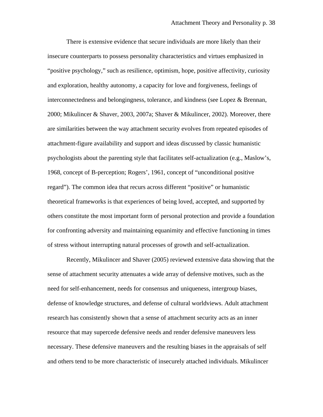There is extensive evidence that secure individuals are more likely than their insecure counterparts to possess personality characteristics and virtues emphasized in "positive psychology," such as resilience, optimism, hope, positive affectivity, curiosity and exploration, healthy autonomy, a capacity for love and forgiveness, feelings of interconnectedness and belongingness, tolerance, and kindness (see Lopez & Brennan, 2000; Mikulincer & Shaver, 2003, 2007a; Shaver & Mikulincer, 2002). Moreover, there are similarities between the way attachment security evolves from repeated episodes of attachment-figure availability and support and ideas discussed by classic humanistic psychologists about the parenting style that facilitates self-actualization (e.g., Maslow's, 1968, concept of B-perception; Rogers', 1961, concept of "unconditional positive regard"). The common idea that recurs across different "positive" or humanistic theoretical frameworks is that experiences of being loved, accepted, and supported by others constitute the most important form of personal protection and provide a foundation for confronting adversity and maintaining equanimity and effective functioning in times of stress without interrupting natural processes of growth and self-actualization.

Recently, Mikulincer and Shaver (2005) reviewed extensive data showing that the sense of attachment security attenuates a wide array of defensive motives, such as the need for self-enhancement, needs for consensus and uniqueness, intergroup biases, defense of knowledge structures, and defense of cultural worldviews. Adult attachment research has consistently shown that a sense of attachment security acts as an inner resource that may supercede defensive needs and render defensive maneuvers less necessary. These defensive maneuvers and the resulting biases in the appraisals of self and others tend to be more characteristic of insecurely attached individuals. Mikulincer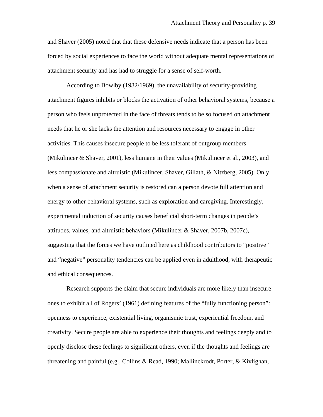and Shaver (2005) noted that that these defensive needs indicate that a person has been forced by social experiences to face the world without adequate mental representations of attachment security and has had to struggle for a sense of self-worth.

According to Bowlby (1982/1969), the unavailability of security-providing attachment figures inhibits or blocks the activation of other behavioral systems, because a person who feels unprotected in the face of threats tends to be so focused on attachment needs that he or she lacks the attention and resources necessary to engage in other activities. This causes insecure people to be less tolerant of outgroup members (Mikulincer & Shaver, 2001), less humane in their values (Mikulincer et al., 2003), and less compassionate and altruistic (Mikulincer, Shaver, Gillath, & Nitzberg, 2005). Only when a sense of attachment security is restored can a person devote full attention and energy to other behavioral systems, such as exploration and caregiving. Interestingly, experimental induction of security causes beneficial short-term changes in people's attitudes, values, and altruistic behaviors (Mikulincer & Shaver, 2007b, 2007c), suggesting that the forces we have outlined here as childhood contributors to "positive" and "negative" personality tendencies can be applied even in adulthood, with therapeutic and ethical consequences.

Research supports the claim that secure individuals are more likely than insecure ones to exhibit all of Rogers' (1961) defining features of the "fully functioning person": openness to experience, existential living, organismic trust, experiential freedom, and creativity. Secure people are able to experience their thoughts and feelings deeply and to openly disclose these feelings to significant others, even if the thoughts and feelings are threatening and painful (e.g., Collins & Read, 1990; Mallinckrodt, Porter, & Kivlighan,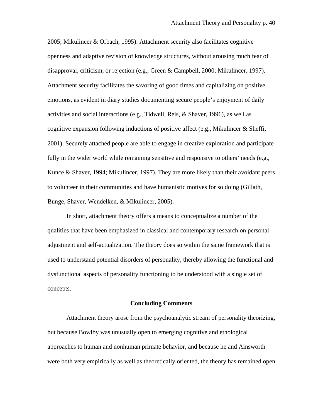2005; Mikulincer & Orbach, 1995). Attachment security also facilitates cognitive openness and adaptive revision of knowledge structures, without arousing much fear of disapproval, criticism, or rejection (e.g., Green & Campbell, 2000; Mikulincer, 1997). Attachment security facilitates the savoring of good times and capitalizing on positive emotions, as evident in diary studies documenting secure people's enjoyment of daily activities and social interactions (e.g., Tidwell, Reis, & Shaver, 1996), as well as cognitive expansion following inductions of positive affect (e.g., Mikulincer & Sheffi, 2001). Securely attached people are able to engage in creative exploration and participate fully in the wider world while remaining sensitive and responsive to others' needs (e.g., Kunce & Shaver, 1994; Mikulincer, 1997). They are more likely than their avoidant peers to volunteer in their communities and have humanistic motives for so doing (Gillath, Bunge, Shaver, Wendelken, & Mikulincer, 2005).

In short, attachment theory offers a means to conceptualize a number of the qualities that have been emphasized in classical and contemporary research on personal adjustment and self-actualization. The theory does so within the same framework that is used to understand potential disorders of personality, thereby allowing the functional and dysfunctional aspects of personality functioning to be understood with a single set of concepts.

#### **Concluding Comments**

 Attachment theory arose from the psychoanalytic stream of personality theorizing, but because Bowlby was unusually open to emerging cognitive and ethological approaches to human and nonhuman primate behavior, and because he and Ainsworth were both very empirically as well as theoretically oriented, the theory has remained open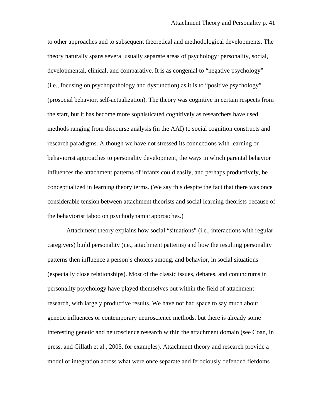to other approaches and to subsequent theoretical and methodological developments. The theory naturally spans several usually separate areas of psychology: personality, social, developmental, clinical, and comparative. It is as congenial to "negative psychology" (i.e., focusing on psychopathology and dysfunction) as it is to "positive psychology" (prosocial behavior, self-actualization). The theory was cognitive in certain respects from the start, but it has become more sophisticated cognitively as researchers have used methods ranging from discourse analysis (in the AAI) to social cognition constructs and research paradigms. Although we have not stressed its connections with learning or behaviorist approaches to personality development, the ways in which parental behavior influences the attachment patterns of infants could easily, and perhaps productively, be conceptualized in learning theory terms. (We say this despite the fact that there was once considerable tension between attachment theorists and social learning theorists because of the behaviorist taboo on psychodynamic approaches.)

 Attachment theory explains how social "situations" (i.e., interactions with regular caregivers) build personality (i.e., attachment patterns) and how the resulting personality patterns then influence a person's choices among, and behavior, in social situations (especially close relationships). Most of the classic issues, debates, and conundrums in personality psychology have played themselves out within the field of attachment research, with largely productive results. We have not had space to say much about genetic influences or contemporary neuroscience methods, but there is already some interesting genetic and neuroscience research within the attachment domain (see Coan, in press, and Gillath et al., 2005, for examples). Attachment theory and research provide a model of integration across what were once separate and ferociously defended fiefdoms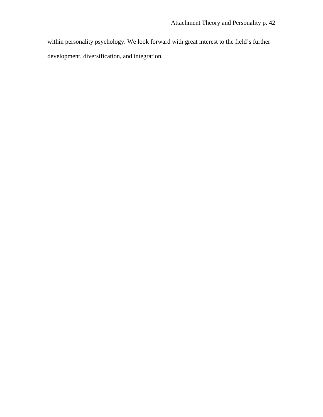within personality psychology. We look forward with great interest to the field's further development, diversification, and integration.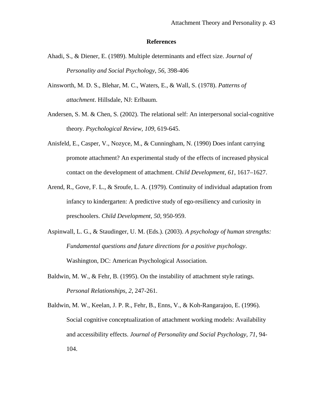#### **References**

- Ahadi, S., & Diener, E. (1989). Multiple determinants and effect size. *Journal of Personality and Social Psychology, 56*, 398-406
- Ainsworth, M. D. S., Blehar, M. C., Waters, E., & Wall, S. (1978). *Patterns of attachment*. Hillsdale, NJ: Erlbaum.
- Andersen, S. M. & Chen, S. (2002). The relational self: An interpersonal social-cognitive theory. *Psychological Review, 109*, 619-645.
- Anisfeld, E., Casper, V., Nozyce, M., & Cunningham, N. (1990) Does infant carrying promote attachment? An experimental study of the effects of increased physical contact on the development of attachment. *Child Development, 61*, 1617–1627.
- Arend, R., Gove, F. L., & Sroufe, L. A. (1979). Continuity of individual adaptation from infancy to kindergarten: A predictive study of ego-resiliency and curiosity in preschoolers. *Child Development, 50*, 950-959.
- Aspinwall, L. G., & Staudinger, U. M. (Eds.). (2003). *A psychology of human strengths: Fundamental questions and future directions for a positive psychology*. Washington, DC: American Psychological Association.
- Baldwin, M. W., & Fehr, B. (1995). On the instability of attachment style ratings. *Personal Relationships*, *2*, 247-261.

Baldwin, M. W., Keelan, J. P. R., Fehr, B., Enns, V., & Koh-Rangarajoo, E. (1996). Social cognitive conceptualization of attachment working models: Availability and accessibility effects. *Journal of Personality and Social Psychology, 71*, 94- 104.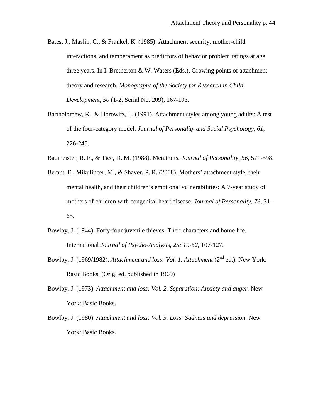Bates, J., Maslin, C., & Frankel, K. (1985). Attachment security, mother-child interactions, and temperament as predictors of behavior problem ratings at age three years. In I. Bretherton & W. Waters (Eds.), Growing points of attachment theory and research. *Monographs of the Society for Research in Child Development, 50* (1-2, Serial No. 209), 167-193.

- Bartholomew, K., & Horowitz, L. (1991). Attachment styles among young adults: A test of the four-category model. *Journal of Personality and Social Psychology, 61*, 226-245.
- Baumeister, R. F., & Tice, D. M. (1988). Metatraits. *Journal of Personality, 56*, 571-598.
- Berant, E., Mikulincer, M., & Shaver, P. R. (2008). Mothers' attachment style, their mental health, and their children's emotional vulnerabilities: A 7-year study of mothers of children with congenital heart disease. *Journal of Personality, 76*, 31- 65.
- Bowlby, J. (1944). Forty-four juvenile thieves: Their characters and home life. International *Journal of Psycho-Analysis, 25: 19-52*, 107-127.
- Bowlby, J. (1969/1982). *Attachment and loss: Vol. 1. Attachment* (2<sup>nd</sup> ed.). New York: Basic Books. (Orig. ed. published in 1969)
- Bowlby, J. (1973). *Attachment and loss: Vol. 2. Separation: Anxiety and anger.* New York: Basic Books.
- Bowlby, J. (1980). *Attachment and loss: Vol. 3. Loss: Sadness and depression.* New York: Basic Books.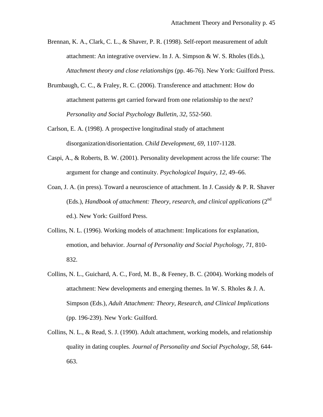- Brennan, K. A., Clark, C. L., & Shaver, P. R. (1998). Self-report measurement of adult attachment: An integrative overview. In J. A. Simpson & W. S. Rholes (Eds.), *Attachment theory and close relationships* (pp. 46-76). New York: Guilford Press.
- Brumbaugh, C. C., & Fraley, R. C. (2006). Transference and attachment: How do attachment patterns get carried forward from one relationship to the next? *Personality and Social Psychology Bulletin*, *32*, 552-560.
- Carlson, E. A. (1998). A prospective longitudinal study of attachment disorganization/disorientation. *Child Development, 69*, 1107-1128.
- Caspi, A., & Roberts, B. W. (2001). Personality development across the life course: The argument for change and continuity. *Psychological Inquiry, 12*, 49–66.
- Coan, J. A. (in press). Toward a neuroscience of attachment. In J. Cassidy & P. R. Shaver (Eds.), *Handbook of attachment: Theory, research, and clinical applications* (2<sup>nd</sup>) ed.). New York: Guilford Press.
- Collins, N. L. (1996). Working models of attachment: Implications for explanation, emotion, and behavior. *Journal of Personality and Social Psychology, 71*, 810- 832.
- Collins, N. L., Guichard, A. C., Ford, M. B., & Feeney, B. C. (2004). Working models of attachment: New developments and emerging themes. In W. S. Rholes & J. A. Simpson (Eds.), *Adult Attachment: Theory, Research, and Clinical Implications* (pp. 196-239). New York: Guilford.
- Collins, N. L., & Read, S. J. (1990). Adult attachment, working models, and relationship quality in dating couples. *Journal of Personality and Social Psychology, 58*, 644- 663.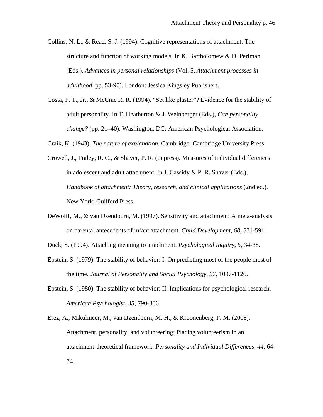Collins, N. L., & Read, S. J. (1994). Cognitive representations of attachment: The structure and function of working models. In K. Bartholomew & D. Perlman (Eds.), *Advances in personal relationships* (Vol. 5, *Attachment processes in adulthood*, pp. 53-90). London: Jessica Kingsley Publishers.

Costa, P. T., Jr., & McCrae R. R. (1994). "Set like plaster"? Evidence for the stability of adult personality. In T. Heatherton & J. Weinberger (Eds.), *Can personality change?* (pp. 21–40). Washington, DC: American Psychological Association.

Craik, K. (1943). *The nature of explanation*. Cambridge: Cambridge University Press.

- Crowell, J., Fraley, R. C., & Shaver, P. R. (in press). Measures of individual differences in adolescent and adult attachment. In J. Cassidy & P. R. Shaver (Eds.), *Handbook of attachment: Theory, research, and clinical applications* (2nd ed.). New York: Guilford Press.
- DeWolff, M., & van IJzendoorn, M. (1997). Sensitivity and attachment: A meta-analysis on parental antecedents of infant attachment. *Child Development, 68*, 571-591.

Duck, S. (1994). Attaching meaning to attachment. *Psychological Inquiry, 5*, 34-38.

- Epstein, S. (1979). The stability of behavior: I. On predicting most of the people most of the time. *Journal of Personality and Social Psychology, 37*, 1097-1126.
- Epstein, S. (1980). The stability of behavior: II. Implications for psychological research. *American Psychologist, 35*, 790-806
- Erez, A., Mikulincer, M., van IJzendoorn, M. H., & Kroonenberg, P. M. (2008). Attachment, personality, and volunteering: Placing volunteerism in an attachment-theoretical framework. *Personality and Individual Differences, 44*, 64- 74.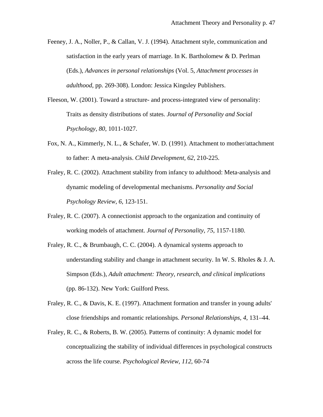Feeney, J. A., Noller, P., & Callan, V. J. (1994). Attachment style, communication and satisfaction in the early years of marriage. In K. Bartholomew & D. Perlman (Eds.), *Advances in personal relationships* (Vol. 5, *Attachment processes in adulthood*, pp. 269-308). London: Jessica Kingsley Publishers.

- Fleeson, W. (2001). Toward a structure- and process-integrated view of personality: Traits as density distributions of states. *Journal of Personality and Social Psychology, 80*, 1011-1027.
- Fox, N. A., Kimmerly, N. L., & Schafer, W. D. (1991). Attachment to mother/attachment to father: A meta-analysis. *Child Development, 62*, 210-225.
- Fraley, R. C. (2002). Attachment stability from infancy to adulthood: Meta-analysis and dynamic modeling of developmental mechanisms. *Personality and Social Psychology Review*, *6*, 123-151.
- Fraley, R. C. (2007). A connectionist approach to the organization and continuity of working models of attachment. *Journal of Personality, 75*, 1157-1180.
- Fraley, R. C., & Brumbaugh, C. C. (2004). A dynamical systems approach to understanding stability and change in attachment security. In W. S. Rholes & J. A. Simpson (Eds.), *Adult attachment: Theory, research, and clinical implications* (pp. 86-132). New York: Guilford Press.
- Fraley, R. C., & Davis, K. E. (1997). Attachment formation and transfer in young adults' close friendships and romantic relationships. *Personal Relationships, 4*, 131–44.
- Fraley, R. C., & Roberts, B. W. (2005). Patterns of continuity: A dynamic model for conceptualizing the stability of individual differences in psychological constructs across the life course. *Psychological Review, 112*, 60-74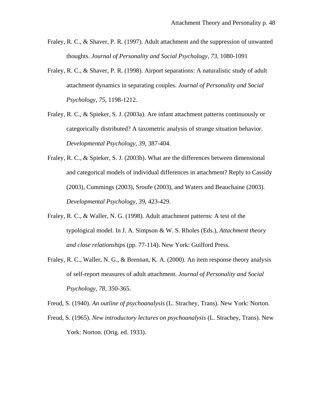- Fraley, R. C., & Shaver, P. R. (1997). Adult attachment and the suppression of unwanted thoughts. *Journal of Personality and Social Psychology*, *73*, 1080-1091
- Fraley, R. C., & Shaver, P. R. (1998). Airport separations: A naturalistic study of adult attachment dynamics in separating couples. *Journal of Personality and Social Psychology*, *75*, 1198-1212.
- Fraley, R. C., & Spieker, S. J. (2003a). Are infant attachment patterns continuously or categorically distributed? A taxometric analysis of strange situation behavior. *Developmental Psychology, 39*, 387-404.
- Fraley, R. C., & Spieker, S. J. (2003b). What are the differences between dimensional and categorical models of individual differences in attachment? Reply to Cassidy (2003), Cummings (2003), Sroufe (2003), and Waters and Beauchaine (2003). *Developmental Psychology, 39*, 423-429.
- Fraley, R. C., & Waller, N. G. (1998). Adult attachment patterns: A test of the typological model. In J. A. Simpson & W. S. Rholes (Eds.), *Attachment theory and close relationships* (pp. 77-114). New York: Guilford Press.
- Fraley, R. C., Waller, N. G., & Brennan, K. A. (2000). An item response theory analysis of self-report measures of adult attachment. *Journal of Personality and Social Psychology, 78*, 350-365.

Freud, S. (1940). *An outline of psychoanalysis* (L. Strachey, Trans). New York: Norton.

Freud, S. (1965). *New introductory lectures on psychoanalysis* (L. Strachey, Trans). New York: Norton. (Orig. ed. 1933).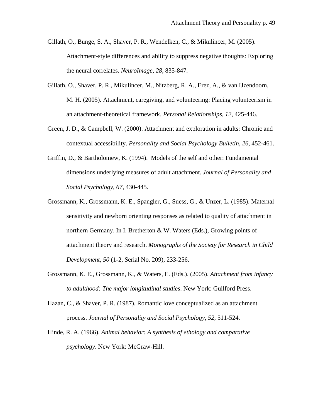- Gillath, O., Bunge, S. A., Shaver, P. R., Wendelken, C., & Mikulincer, M. (2005). Attachment-style differences and ability to suppress negative thoughts: Exploring the neural correlates. *NeuroImage, 28*, 835-847.
- Gillath, O., Shaver, P. R., Mikulincer, M., Nitzberg, R. A., Erez, A., & van IJzendoorn, M. H. (2005). Attachment, caregiving, and volunteering: Placing volunteerism in an attachment-theoretical framework. *Personal Relationships, 12,* 425-446.
- Green, J. D., & Campbell, W. (2000). Attachment and exploration in adults: Chronic and contextual accessibility. *Personality and Social Psychology Bulletin, 26*, 452-461.
- Griffin, D., & Bartholomew, K. (1994). Models of the self and other: Fundamental dimensions underlying measures of adult attachment. *Journal of Personality and Social Psychology, 67*, 430-445.
- Grossmann, K., Grossmann, K. E., Spangler, G., Suess, G., & Unzer, L. (1985). Maternal sensitivity and newborn orienting responses as related to quality of attachment in northern Germany. In I. Bretherton & W. Waters (Eds.), Growing points of attachment theory and research. *Monographs of the Society for Research in Child Development, 50* (1-2, Serial No. 209), 233-256.
- Grossmann, K. E., Grossmann, K., & Waters, E. (Eds.). (2005). *Attachment from infancy to adulthood: The major longitudinal studies*. New York: Guilford Press.
- Hazan, C., & Shaver, P. R. (1987). Romantic love conceptualized as an attachment process. *Journal of Personality and Social Psychology, 52*, 511-524.
- Hinde, R. A. (1966). *Animal behavior: A synthesis of ethology and comparative psychology*. New York: McGraw-Hill.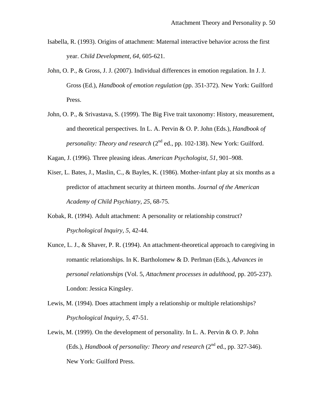- Isabella, R. (1993). Origins of attachment: Maternal interactive behavior across the first year. *Child Development, 64*, 605-621.
- John, O. P., & Gross, J. J. (2007). Individual differences in emotion regulation. In J. J. Gross (Ed.), *Handbook of emotion regulation* (pp. 351-372). New York: Guilford Press.
- John, O. P., & Srivastava, S. (1999). The Big Five trait taxonomy: History, measurement, and theoretical perspectives. In L. A. Pervin & O. P. John (Eds.), *Handbook of personality: Theory and research* (2<sup>nd</sup> ed., pp. 102-138). New York: Guilford.
- Kagan, J. (1996). Three pleasing ideas. *American Psychologist, 51*, 901–908.
- Kiser, L. Bates, J., Maslin, C., & Bayles, K. (1986). Mother-infant play at six months as a predictor of attachment security at thirteen months. *Journal of the American Academy of Child Psychiatry, 25*, 68-75.
- Kobak, R. (1994). Adult attachment: A personality or relationship construct? *Psychological Inquiry, 5*, 42-44.
- Kunce, L. J., & Shaver, P. R. (1994). An attachment-theoretical approach to caregiving in romantic relationships. In K. Bartholomew & D. Perlman (Eds.), *Advances in personal relationships* (Vol. 5, *Attachment processes in adulthood*, pp. 205-237). London: Jessica Kingsley.
- Lewis, M. (1994). Does attachment imply a relationship or multiple relationships? *Psychological Inquiry, 5*, 47-51.
- Lewis, M. (1999). On the development of personality. In L. A. Pervin & O. P. John (Eds.), *Handbook of personality: Theory and research*  $(2^{nd}$  ed., pp. 327-346). New York: Guilford Press.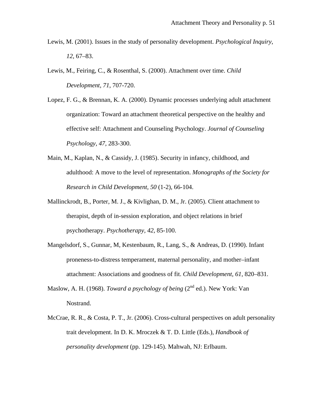- Lewis, M. (2001). Issues in the study of personality development. *Psychological Inquiry*, *12*, 67–83.
- Lewis, M., Feiring, C., & Rosenthal, S. (2000). Attachment over time. *Child Development, 71*, 707-720.
- Lopez, F. G., & Brennan, K. A. (2000). Dynamic processes underlying adult attachment organization: Toward an attachment theoretical perspective on the healthy and effective self: Attachment and Counseling Psychology. *Journal of Counseling Psychology, 47,* 283-300.
- Main, M., Kaplan, N., & Cassidy, J. (1985). Security in infancy, childhood, and adulthood: A move to the level of representation. *Monographs of the Society for Research in Child Development, 50* (1-2), 66-104.
- Mallinckrodt, B., Porter, M. J., & Kivlighan, D. M., Jr. (2005). Client attachment to therapist, depth of in-session exploration, and object relations in brief psychotherapy. *Psychotherapy, 42*, 85-100.
- Mangelsdorf, S., Gunnar, M, Kestenbaum, R., Lang, S., & Andreas, D. (1990). Infant proneness-to-distress temperament, maternal personality, and mother–infant attachment: Associations and goodness of fit. *Child Development, 61*, 820–831.
- Maslow, A. H. (1968). *Toward a psychology of being* (2<sup>nd</sup> ed.). New York: Van Nostrand.
- McCrae, R. R., & Costa, P. T., Jr. (2006). Cross-cultural perspectives on adult personality trait development. In D. K. Mroczek & T. D. Little (Eds.), *Handbook of personality development* (pp. 129-145). Mahwah, NJ: Erlbaum.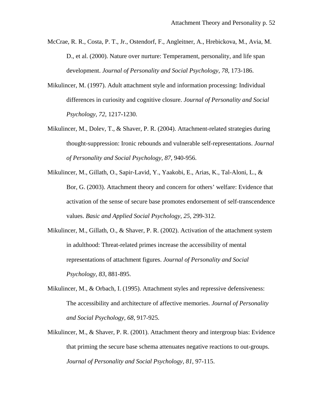McCrae, R. R., Costa, P. T., Jr., Ostendorf, F., Angleitner, A., Hrebickova, M., Avia, M. D., et al. (2000). Nature over nurture: Temperament, personality, and life span development. *Journal of Personality and Social Psychology, 78*, 173-186.

- Mikulincer, M. (1997). Adult attachment style and information processing: Individual differences in curiosity and cognitive closure. *Journal of Personality and Social Psychology, 72*, 1217-1230.
- Mikulincer, M., Dolev, T., & Shaver, P. R. (2004). Attachment-related strategies during thought-suppression: Ironic rebounds and vulnerable self-representations. *Journal of Personality and Social Psychology, 87*, 940-956.
- Mikulincer, M., Gillath, O., Sapir-Lavid, Y., Yaakobi, E., Arias, K., Tal-Aloni, L., & Bor, G. (2003). Attachment theory and concern for others' welfare: Evidence that activation of the sense of secure base promotes endorsement of self-transcendence values. *Basic and Applied Social Psychology, 25*, 299-312.
- Mikulincer, M., Gillath, O., & Shaver, P. R. (2002). Activation of the attachment system in adulthood: Threat-related primes increase the accessibility of mental representations of attachment figures. *Journal of Personality and Social Psychology, 83*, 881-895.
- Mikulincer, M., & Orbach, I. (1995). Attachment styles and repressive defensiveness: The accessibility and architecture of affective memories. *Journal of Personality and Social Psychology, 68*, 917-925.
- Mikulincer, M., & Shaver, P. R. (2001). Attachment theory and intergroup bias: Evidence that priming the secure base schema attenuates negative reactions to out-groups. *Journal of Personality and Social Psychology, 81*, 97-115.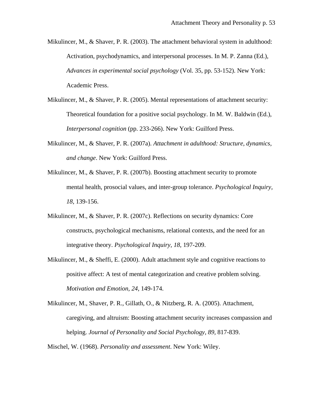Mikulincer, M., & Shaver, P. R. (2003). The attachment behavioral system in adulthood: Activation, psychodynamics, and interpersonal processes. In M. P. Zanna (Ed.), *Advances in experimental social psychology* (Vol. 35, pp. 53-152). New York: Academic Press.

- Mikulincer, M., & Shaver, P. R. (2005). Mental representations of attachment security: Theoretical foundation for a positive social psychology. In M. W. Baldwin (Ed.), *Interpersonal cognition* (pp. 233-266). New York: Guilford Press.
- Mikulincer, M., & Shaver, P. R. (2007a). *Attachment in adulthood: Structure, dynamics, and change*. New York: Guilford Press.
- Mikulincer, M.,  $\&$  Shaver, P. R. (2007b). Boosting attachment security to promote mental health, prosocial values, and inter-group tolerance. *Psychological Inquiry, 18*, 139-156.
- Mikulincer, M., & Shaver, P. R. (2007c). Reflections on security dynamics: Core constructs, psychological mechanisms, relational contexts, and the need for an integrative theory. *Psychological Inquiry, 18*, 197-209.
- Mikulincer, M., & Sheffi, E. (2000). Adult attachment style and cognitive reactions to positive affect: A test of mental categorization and creative problem solving. *Motivation and Emotion, 24*, 149-174.
- Mikulincer, M., Shaver, P. R., Gillath, O., & Nitzberg, R. A. (2005). Attachment, caregiving, and altruism: Boosting attachment security increases compassion and helping. *Journal of Personality and Social Psychology, 89,* 817-839.
- Mischel, W. (1968). *Personality and assessment*. New York: Wiley.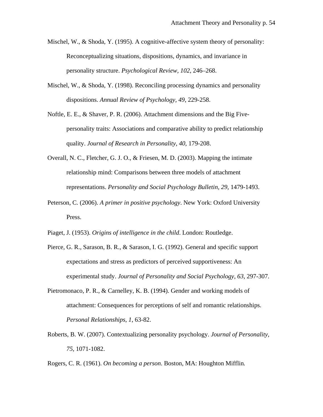- Mischel, W.,  $\&$  Shoda, Y. (1995). A cognitive-affective system theory of personality: Reconceptualizing situations, dispositions, dynamics, and invariance in personality structure. *Psychological Review, 102*, 246–268.
- Mischel, W., & Shoda, Y. (1998). Reconciling processing dynamics and personality dispositions. *Annual Review of Psychology, 49*, 229-258.
- Noftle, E. E., & Shaver, P. R. (2006). Attachment dimensions and the Big Fivepersonality traits: Associations and comparative ability to predict relationship quality. *Journal of Research in Personality, 40*, 179-208.
- Overall, N. C., Fletcher, G. J. O., & Friesen, M. D. (2003). Mapping the intimate relationship mind: Comparisons between three models of attachment representations. *Personality and Social Psychology Bulletin, 29*, 1479-1493.
- Peterson, C. (2006). *A primer in positive psychology*. New York: Oxford University Press.
- Piaget, J. (1953). *Origins of intelligence in the child*. London: Routledge.
- Pierce, G. R., Sarason, B. R., & Sarason, I. G. (1992). General and specific support expectations and stress as predictors of perceived supportiveness: An experimental study. *Journal of Personality and Social Psychology*, *63*, 297-307.
- Pietromonaco, P. R., & Carnelley, K. B. (1994). Gender and working models of attachment: Consequences for perceptions of self and romantic relationships. *Personal Relationships*, *1*, 63-82.
- Roberts, B. W. (2007). Contextualizing personality psychology. *Journal of Personality, 75*, 1071-1082.

Rogers, C. R. (1961). *On becoming a person*. Boston, MA: Houghton Mifflin*.*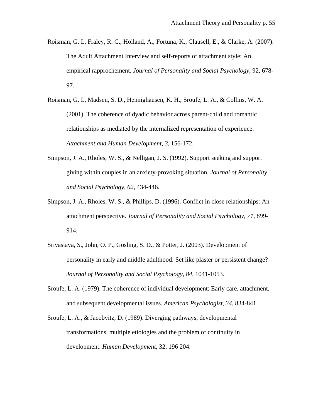- Roisman, G. I., Fraley, R. C., Holland, A., Fortuna, K., Clausell, E., & Clarke, A. (2007). The Adult Attachment Interview and self-reports of attachment style: An empirical rapprochement. *Journal of Personality and Social Psychology*, 92, 678- 97.
- Roisman, G. I., Madsen, S. D., Hennighausen, K. H., Sroufe, L. A., & Collins, W. A. (2001). The coherence of dyadic behavior across parent-child and romantic relationships as mediated by the internalized representation of experience. *Attachment and Human Development, 3*, 156-172.
- Simpson, J. A., Rholes, W. S., & Nelligan, J. S. (1992). Support seeking and support giving within couples in an anxiety-provoking situation. *Journal of Personality and Social Psychology, 62*, 434-446.
- Simpson, J. A., Rholes, W. S., & Phillips, D. (1996). Conflict in close relationships: An attachment perspective. *Journal of Personality and Social Psychology, 71*, 899- 914.
- Srivastava, S., John, O. P., Gosling, S. D., & Potter, J. (2003). Development of personality in early and middle adulthood: Set like plaster or persistent change? *Journal of Personality and Social Psychology, 84*, 1041-1053.
- Sroufe, L. A. (1979). The coherence of individual development: Early care, attachment, and subsequent developmental issues. *American Psychologist*, *34*, 834-841.
- Sroufe, L. A., & Jacobvitz, D. (1989). Diverging pathways, developmental transformations, multiple etiologies and the problem of continuity in development. *Human Development*, 32, 196 204.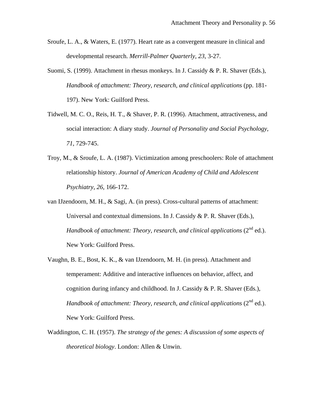- Sroufe, L. A., & Waters, E. (1977). Heart rate as a convergent measure in clinical and developmental research. *Merrill-Palmer Quarterly, 23*, 3-27.
- Suomi, S. (1999). Attachment in rhesus monkeys. In J. Cassidy & P. R. Shaver (Eds.), *Handbook of attachment: Theory, research, and clinical applications* (pp. 181- 197). New York: Guilford Press.
- Tidwell, M. C. O., Reis, H. T., & Shaver, P. R. (1996). Attachment, attractiveness, and social interaction: A diary study. *Journal of Personality and Social Psychology, 71*, 729-745.
- Troy, M., & Sroufe, L. A. (1987). Victimization among preschoolers: Role of attachment relationship history. *Journal of American Academy of Child and Adolescent Psychiatry*, *26*, 166-172.
- van IJzendoorn, M. H., & Sagi, A. (in press). Cross-cultural patterns of attachment: Universal and contextual dimensions. In J. Cassidy & P. R. Shaver (Eds.), *Handbook of attachment: Theory, research, and clinical applications*  $(2^{nd}$  ed.). New York: Guilford Press.
- Vaughn, B. E., Bost, K. K., & van IJzendoorn, M. H. (in press). Attachment and temperament: Additive and interactive influences on behavior, affect, and cognition during infancy and childhood. In J. Cassidy & P. R. Shaver (Eds.), *Handbook of attachment: Theory, research, and clinical applications*  $(2^{nd}$  ed.). New York: Guilford Press.
- Waddington, C. H. (1957). *The strategy of the genes: A discussion of some aspects of theoretical biology*. London: Allen & Unwin.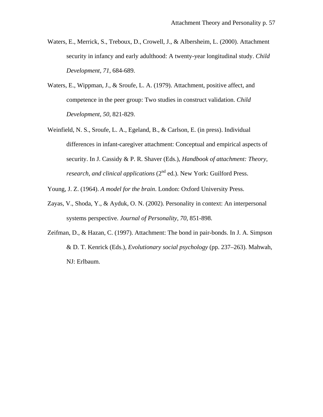- Waters, E., Merrick, S., Treboux, D., Crowell, J., & Albersheim, L. (2000). Attachment security in infancy and early adulthood: A twenty-year longitudinal study. *Child Development, 71,* 684-689.
- Waters, E., Wippman, J., & Sroufe, L. A. (1979). Attachment, positive affect, and competence in the peer group: Two studies in construct validation. *Child Development*, *50*, 821-829.
- Weinfield, N. S., Sroufe, L. A., Egeland, B., & Carlson, E. (in press). Individual differences in infant-caregiver attachment: Conceptual and empirical aspects of security. In J. Cassidy & P. R. Shaver (Eds.), *Handbook of attachment: Theory, research, and clinical applications* (2<sup>nd</sup> ed.). New York: Guilford Press.

Young, J. Z. (1964). *A model for the brain*. London: Oxford University Press.

- Zayas, V., Shoda, Y., & Ayduk, O. N. (2002). Personality in context: An interpersonal systems perspective. *Journal of Personality, 70*, 851-898.
- Zeifman, D., & Hazan, C. (1997). Attachment: The bond in pair-bonds. In J. A. Simpson & D. T. Kenrick (Eds.), *Evolutionary social psychology* (pp. 237–263). Mahwah, NJ: Erlbaum.